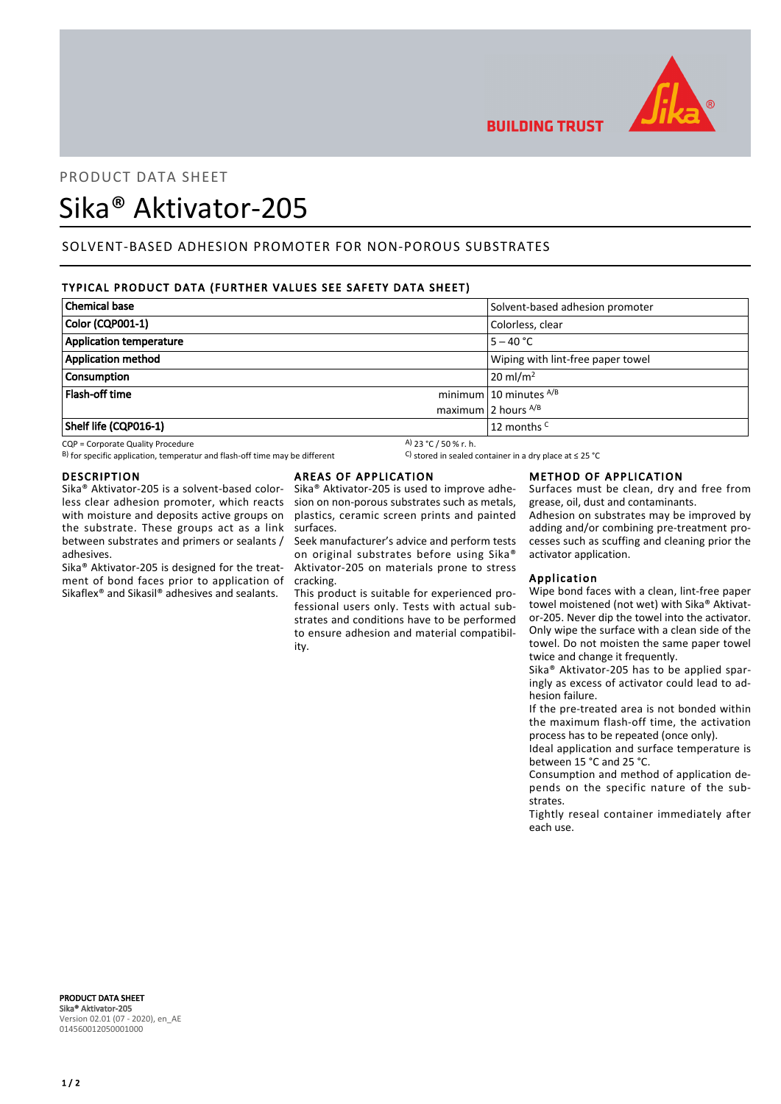

# PRODUCT DATA SHEET

## Sika® Aktivator-205

## SOLVENT-BASED ADHESION PROMOTER FOR NON-POROUS SUBSTRATES

### TYPICAL PRODUCT DATA (FURTHER VALUES SEE SAFETY DATA SHEET)

| <b>Chemical base</b>      | Solvent-based adhesion promoter   |
|---------------------------|-----------------------------------|
| Color (CQP001-1)          | Colorless, clear                  |
| Application temperature   | $5 - 40 °C$                       |
| <b>Application method</b> | Wiping with lint-free paper towel |
| <b>Consumption</b>        | $20 \text{ ml/m}^2$               |
| <b>Flash-off time</b>     | minimum 10 minutes $^{A/B}$       |
|                           | maximum 2 hours $^{A/B}$          |
| Shelf life (CQP016-1)     | 12 months <sup>C</sup>            |

CQP = Corporate Quality Procedure<br>
B) for specific application, temperatur and flash-off time may be different  $\begin{array}{c} \text{A)}$  23 °C / 50 % r. h.<br>
A) for specific application, temperatur and flash-off time may be different B) for specific application, temperatur and flash-off time may be different

#### DESCRIPTION

Sika® Aktivator-205 is a solvent-based colorless clear adhesion promoter, which reacts with moisture and deposits active groups on the substrate. These groups act as a link between substrates and primers or sealants / adhesives.

Sika® Aktivator-205 is designed for the treatment of bond faces prior to application of Sikaflex® and Sikasil® adhesives and sealants.

#### AREAS OF APPLICATION

Sika® Aktivator-205 is used to improve adhesion on non-porous substrates such as metals, plastics, ceramic screen prints and painted surfaces.

Seek manufacturer's advice and perform tests on original substrates before using Sika® Aktivator-205 on materials prone to stress cracking.

This product is suitable for experienced professional users only. Tests with actual substrates and conditions have to be performed to ensure adhesion and material compatibility.

#### METHOD OF APPLICATION

Surfaces must be clean, dry and free from grease, oil, dust and contaminants. Adhesion on substrates may be improved by adding and/or combining pre-treatment processes such as scuffing and cleaning prior the activator application.

#### Application

**BUILDING TRUST** 

Wipe bond faces with a clean, lint-free paper towel moistened (not wet) with Sika® Aktivator-205. Never dip the towel into the activator. Only wipe the surface with a clean side of the towel. Do not moisten the same paper towel twice and change it frequently.

Sika® Aktivator-205 has to be applied sparingly as excess of activator could lead to adhesion failure.

If the pre-treated area is not bonded within the maximum flash-off time, the activation process has to be repeated (once only).

Ideal application and surface temperature is between 15 °C and 25 °C.

Consumption and method of application depends on the specific nature of the substrates.

Tightly reseal container immediately after each use.

PRODUCT DATA SHEET Sika® Aktivator-205 Version 02.01 (07 - 2020), en\_AE 014560012050001000